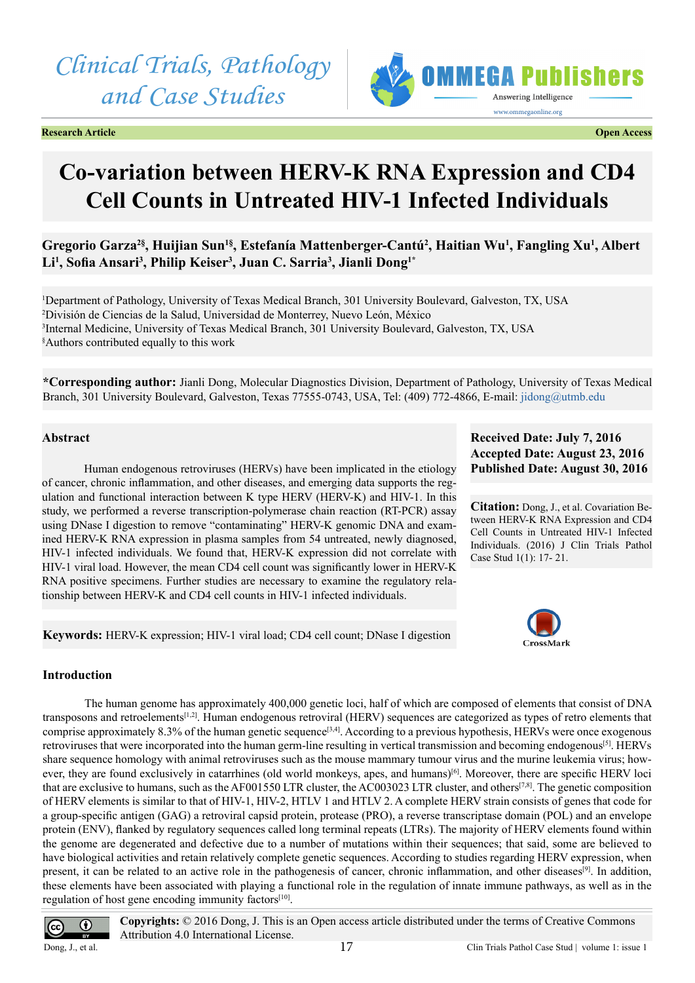*Clinical Trials, Pathology and Case Studies*





# **Co-variation between HERV-K RNA Expression and CD4 Cell Counts in Untreated HIV-1 Infected Individuals**

# Gregorio Garza<sup>2§</sup>, Huijian Sun<sup>1§</sup>, Estefanía Mattenberger-Cantú<sup>2</sup>, Haitian Wu<sup>1</sup>, Fangling Xu<sup>1</sup>, Albert **Li1 , Sofia Ansari<sup>3</sup> , Philip Keiser3 , Juan C. Sarria3 , Jianli Dong1\***

 Department of Pathology, University of Texas Medical Branch, 301 University Boulevard, Galveston, TX, USA División de Ciencias de la Salud, Universidad de Monterrey, Nuevo León, México Internal Medicine, University of Texas Medical Branch, 301 University Boulevard, Galveston, TX, USA § Authors contributed equally to this work

**\*Corresponding author:** Jianli Dong, Molecular Diagnostics Division, Department of Pathology, University of Texas Medical Branch, 301 University Boulevard, Galveston, Texas 77555-0743, USA, Tel: (409) 772-4866, E-mail: [jidong@utmb.edu](mailto:jidong@utmb.edu)

#### **Abstract**

Human endogenous retroviruses (HERVs) have been implicated in the etiology of cancer, chronic inflammation, and other diseases, and emerging data supports the regulation and functional interaction between K type HERV (HERV-K) and HIV-1. In this study, we performed a reverse transcription-polymerase chain reaction (RT-PCR) assay using DNase I digestion to remove "contaminating" HERV-K genomic DNA and examined HERV-K RNA expression in plasma samples from 54 untreated, newly diagnosed, HIV-1 infected individuals. We found that, HERV-K expression did not correlate with HIV-1 viral load. However, the mean CD4 cell count was significantly lower in HERV-K RNA positive specimens. Further studies are necessary to examine the regulatory relationship between HERV-K and CD4 cell counts in HIV-1 infected individuals.

**Keywords:** HERV-K expression; HIV-1 viral load; CD4 cell count; DNase I digestion

#### **Received Date: July 7, 2016 Accepted Date: August 23, 2016 Published Date: August 30, 2016**

**Citation:** Dong, J., et al. Covariation Between HERV-K RNA Expression and CD4 Cell Counts in Untreated HIV-1 Infected Individuals. (2016) J Clin Trials Pathol Case Stud 1(1): 17- 21.



#### **Introduction**

The human genome has approximately 400,000 genetic loci, half of which are composed of elements that consist of DNA transposons and retroelements[\[1,2\].](#page-4-0) Human endogenous retroviral (HERV) sequences are categorized as types of retro elements that comprise approximately 8.3% of the human genetic sequence<sup>[3,4]</sup>. According to a previous hypothesis, HERVs were once exogenous retroviruses that were incorporated into the human germ-line resulting in vertical transmission and becoming endogenous<sup>[\[5\]](#page-4-2)</sup>. HERVs share sequence homology with animal retroviruses such as the mouse mammary tumour virus and the murine leukemia virus; how-ever, they are found exclusively in catarrhines (old world monkeys, apes, and humans)<sup>[\[6\]](#page-4-3)</sup>. Moreover, there are specific HERV loci that are exclusive to humans, such as the AF001550 LTR cluster, the AC003023 LTR cluster, and others<sup>[7,8]</sup>. The genetic composition of HERV elements is similar to that of HIV-1, HIV-2, HTLV 1 and HTLV 2. A complete HERV strain consists of genes that code for a group-specific antigen (GAG) a retroviral capsid protein, protease (PRO), a reverse transcriptase domain (POL) and an envelope protein (ENV), flanked by regulatory sequences called long terminal repeats (LTRs). The majority of HERV elements found within the genome are degenerated and defective due to a number of mutations within their sequences; that said, some are believed to have biological activities and retain relatively complete genetic sequences. According to studies regarding HERV expression, when present, it can be related to an active role in the pathogenesis of cancer, chronic inflammation, and other diseases<sup>[9]</sup>. In addition, these elements have been associated with playing a functional role in the regulation of innate immune pathways, as well as in the regulation of host gene encoding immunity factors<sup>[\[10\]](#page-4-6)</sup>.



**Copyrights:** © 2016 Dong, J. This is an Open access article distributed under the terms of Creative Commons Attribution 4.0 International License.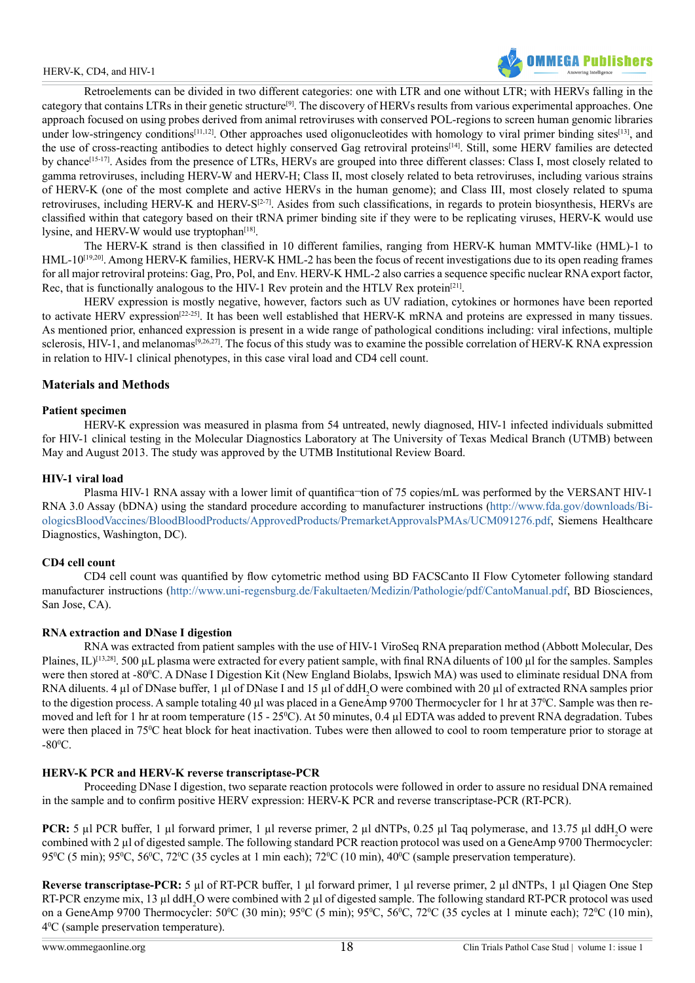#### HERV-K, CD4, and HIV-1



Retroelements can be divided in two different categories: one with LTR and one without LTR; with HERVs falling in the category that contains LTRs in their genetic structur[e\[9\]](#page-4-5). The discovery of HERVs results from various experimental approaches. One approach focused on using probes derived from animal retroviruses with conserved POL-regions to screen human genomic libraries under low-stringency conditions<sup>[11,12]</sup>. Other approaches used oligonucleotides with homology to viral primer binding sites<sup>[\[13\]](#page-4-8)</sup>, and the use of cross-reacting antibodies to detect highly conserved Gag retroviral protein[s\[14\]](#page-4-9). Still, some HERV families are detected by chance<sup>[15-17]</sup>. Asides from the presence of LTRs, HERVs are grouped into three different classes: Class I, most closely related to gamma retroviruses, including HERV-W and HERV-H; Class II, most closely related to beta retroviruses, including various strains of HERV-K (one of the most complete and active HERVs in the human genome); and Class III, most closely related to spuma retroviruses, including HERV-K and HERV-S $[2\cdot 7]$ . Asides from such classifications, in regards to protein biosynthesis, HERVs are classified within that category based on their tRNA primer binding site if they were to be replicating viruses, HERV-K would use lysine, and HERV-W would use tryptophan $[18]$ .

The HERV-K strand is then classified in 10 different families, ranging from HERV-K human MMTV-like (HML)-1 to HML-10[\[19,20\].](#page-4-13) Among HERV-K families, HERV-K HML-2 has been the focus of recent investigations due to its open reading frames for all major retroviral proteins: Gag, Pro, Pol, and Env. HERV-K HML-2 also carries a sequence specific nuclear RNA export factor, Rec, that is functionally analogous to the HIV-1 Rev protein and the HTLV Rex protein<sup>[21]</sup>.

HERV expression is mostly negative, however, factors such as UV radiation, cytokines or hormones have been reported to activate HERV expression<sup>[\[22-25\]](#page-4-15)</sup>. It has been well established that HERV-K mRNA and proteins are expressed in many tissues. As mentioned prior, enhanced expression is present in a wide range of pathological conditions including: viral infections, multiple sclerosis, HIV-1, and melanomas<sup>[9,26,27]</sup>. The focus of this study was to examine the possible correlation of HERV-K RNA expression in relation to HIV-1 clinical phenotypes, in this case viral load and CD4 cell count.

## **Materials and Methods**

## **Patient specimen**

HERV-K expression was measured in plasma from 54 untreated, newly diagnosed, HIV-1 infected individuals submitted for HIV-1 clinical testing in the Molecular Diagnostics Laboratory at The University of Texas Medical Branch (UTMB) between May and August 2013. The study was approved by the UTMB Institutional Review Board.

## **HIV-1 viral load**

Plasma HIV-1 RNA assay with a lower limit of quantifica<sup>-tion</sup> of 75 copies/mL was performed by the VERSANT HIV-1 RNA 3.0 Assay (bDNA) using the standard procedure according to manufacturer instructions ([http://www.fda.gov/downloads/Bi](http://www.fda.gov/downloads/BiologicsBloodVaccines/BloodBloodProducts/ApprovedProducts/PremarketApp)[ologicsBloodVaccines/BloodBloodProducts/ApprovedProducts/PremarketApprovalsPMAs/UCM091276.pdf](http://www.fda.gov/downloads/BiologicsBloodVaccines/BloodBloodProducts/ApprovedProducts/PremarketApp), Siemens Healthcare Diagnostics, Washington, DC).

# **CD4 cell count**

CD4 cell count was quantified by flow cytometric method using BD FACSCanto II Flow Cytometer following standard manufacturer instructions (<http://www.uni-regensburg.de/Fakultaeten/Medizin/Pathologie/pdf/CantoManual.pdf>, BD Biosciences, San Jose, CA).

#### **RNA extraction and DNase I digestion**

RNA was extracted from patient samples with the use of HIV-1 ViroSeq RNA preparation method (Abbott Molecular, Des Plaines, IL $\binom{[13,28]}{[13,28]}$ . 500 µL plasma were extracted for every patient sample, with final RNA diluents of 100 µl for the samples. Samples were then stored at -80°C. A DNase I Digestion Kit (New England Biolabs, Ipswich MA) was used to eliminate residual DNA from RNA diluents. 4 µl of DNase buffer, 1 µl of DNase I and 15 µl of ddH<sub>2</sub>O were combined with 20 µl of extracted RNA samples prior to the digestion process. A sample totaling 40 µl was placed in a GeneAmp 9700 Thermocycler for 1 hr at 37<sup>o</sup>C. Sample was then removed and left for 1 hr at room temperature ( $15 - 25^{\circ}$ C). At 50 minutes, 0.4 µl EDTA was added to prevent RNA degradation. Tubes were then placed in 75<sup>o</sup>C heat block for heat inactivation. Tubes were then allowed to cool to room temperature prior to storage at  $-80^{\circ}$ C.

# **HERV-K PCR and HERV-K reverse transcriptase-PCR**

Proceeding DNase I digestion, two separate reaction protocols were followed in order to assure no residual DNA remained in the sample and to confirm positive HERV expression: HERV-K PCR and reverse transcriptase-PCR (RT-PCR).

PCR: 5 µl PCR buffer, 1 µl forward primer, 1 µl reverse primer, 2 µl dNTPs, 0.25 µl Taq polymerase, and 13.75 µl ddH<sub>2</sub>O were combined with 2 µl of digested sample. The following standard PCR reaction protocol was used on a GeneAmp 9700 Thermocycler: 95<sup>o</sup>C (5 min); 95<sup>o</sup>C, 56<sup>o</sup>C, 72<sup>o</sup>C (35 cycles at 1 min each); 72<sup>o</sup>C (10 min), 40<sup>o</sup>C (sample preservation temperature).

**Reverse transcriptase-PCR:** 5 µl of RT-PCR buffer, 1 µl forward primer, 1 µl reverse primer, 2 µl dNTPs, 1 µl Qiagen One Step RT-PCR enzyme mix, 13  $\mu$ l ddH<sub>2</sub>O were combined with 2  $\mu$ l of digested sample. The following standard RT-PCR protocol was used on a GeneAmp 9700 Thermocycler: 50°C (30 min); 95°C (5 min); 95°C, 56°C, 72°C (35 cycles at 1 minute each); 72°C (10 min), 40 C (sample preservation temperature).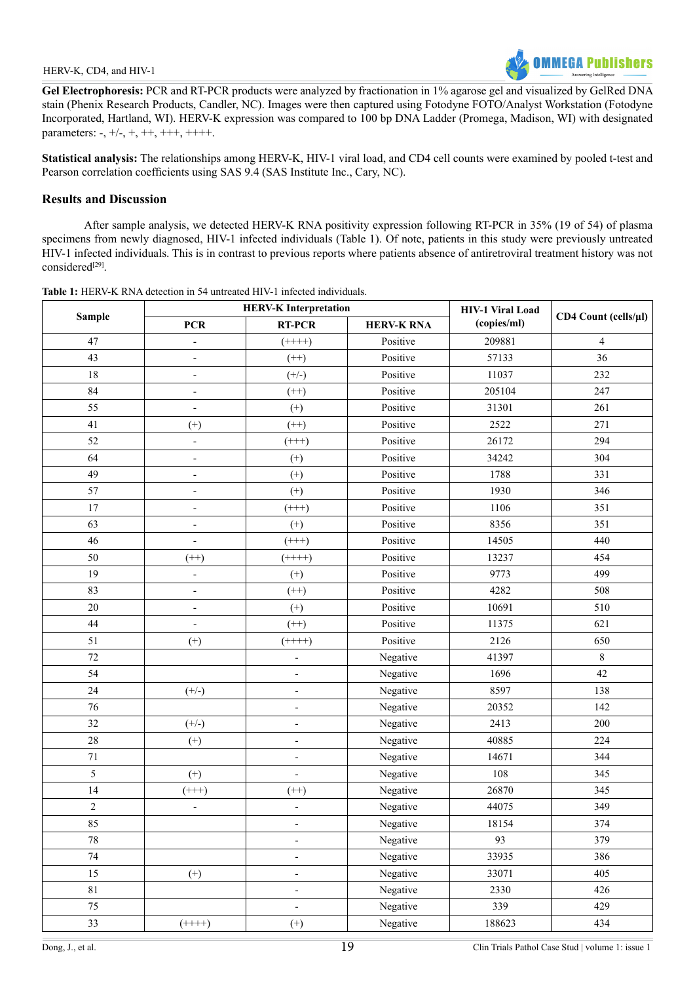**Gel Electrophoresis:** PCR and RT-PCR products were analyzed by fractionation in 1% agarose gel and visualized by GelRed DNA stain (Phenix Research Products, Candler, NC). Images were then captured using Fotodyne FOTO/Analyst Workstation (Fotodyne Incorporated, Hartland, WI). HERV-K expression was compared to 100 bp DNA Ladder (Promega, Madison, WI) with designated parameters:  $-$ ,  $+/-$ ,  $+$ ,  $++$ ,  $++$ ,  $++$ +.

**Statistical analysis:** The relationships among HERV-K, HIV-1 viral load, and CD4 cell counts were examined by pooled t-test and Pearson correlation coefficients using SAS 9.4 (SAS Institute Inc., Cary, NC).

# **Results and Discussion**

After sample analysis, we detected HERV-K RNA positivity expression following RT-PCR in 35% (19 of 54) of plasma specimens from newly diagnosed, HIV-1 infected individuals (Table 1). Of note, patients in this study were previously untreated HIV-1 infected individuals. This is in contrast to previous reports where patients absence of antiretroviral treatment history was not considered<sup>[29]</sup>.

| <b>Sample</b>  | <b>HERV-K Interpretation</b> |                              |                   | <b>HIV-1 Viral Load</b> |                      |
|----------------|------------------------------|------------------------------|-------------------|-------------------------|----------------------|
|                | <b>PCR</b>                   | <b>RT-PCR</b>                | <b>HERV-K RNA</b> | (copies/ml)             | CD4 Count (cells/µl) |
| 47             | $\qquad \qquad \blacksquare$ | $(+++)$                      | Positive          | 209881                  | $\overline{4}$       |
| 43             | $\overline{\phantom{0}}$     | $(++)$                       | Positive          | 57133                   | 36                   |
| 18             | $\frac{1}{2}$                | $(+/-)$                      | Positive          | 11037                   | 232                  |
| 84             | ÷,                           | $(++)$                       | Positive          | 205104                  | 247                  |
| 55             | $\overline{\phantom{0}}$     | $(+)$                        | Positive          | 31301                   | 261                  |
| 41             | $^{(+)}$                     | $(++)$                       | Positive          | 2522                    | 271                  |
| 52             | $\qquad \qquad \blacksquare$ | $(++)$                       | Positive          | 26172                   | 294                  |
| 64             | $\overline{\phantom{0}}$     | $(+)$                        | Positive          | 34242                   | 304                  |
| 49             | $\frac{1}{2}$                | $^{(+)}$                     | Positive          | 1788                    | 331                  |
| 57             | $\overline{\phantom{0}}$     | $(+)$                        | Positive          | 1930                    | 346                  |
| 17             | $\frac{1}{2}$                | $(++)$                       | Positive          | 1106                    | 351                  |
| 63             | $\overline{a}$               | $^{(+)}$                     | Positive          | 8356                    | 351                  |
| 46             | $\overline{\phantom{0}}$     | $(++)$                       | Positive          | 14505                   | 440                  |
| 50             | $(++)$                       | $(+++)$                      | Positive          | 13237                   | 454                  |
| 19             | $\overline{\phantom{a}}$     | $(+)$                        | Positive          | 9773                    | 499                  |
| 83             | $\overline{\phantom{0}}$     | $(++)$                       | Positive          | 4282                    | 508                  |
| 20             | $\qquad \qquad \blacksquare$ | $(+)$                        | Positive          | 10691                   | 510                  |
| 44             | $\overline{\phantom{m}}$     | $(++)$                       | Positive          | 11375                   | 621                  |
| 51             | $^{(+)}$                     | $(+++)$                      | Positive          | 2126                    | 650                  |
| 72             |                              | $\overline{\phantom{0}}$     | Negative          | 41397                   | $8\,$                |
| 54             |                              | $\overline{\phantom{0}}$     | Negative          | 1696                    | 42                   |
| 24             | $(+/-)$                      | ÷,                           | Negative          | 8597                    | 138                  |
| 76             |                              | $\overline{\phantom{a}}$     | Negative          | 20352                   | 142                  |
| 32             | $(+/-)$                      | $\qquad \qquad \blacksquare$ | Negative          | 2413                    | 200                  |
| 28             | $^{(+)}$                     | $\overline{\phantom{0}}$     | Negative          | 40885                   | 224                  |
| $71\,$         |                              | ÷,                           | Negative          | 14671                   | 344                  |
| 5              | $^{(+)}$                     | $\overline{\phantom{0}}$     | Negative          | 108                     | 345                  |
| 14             | $(++)$                       | $(++)$                       | Negative          | 26870                   | 345                  |
| $\overline{c}$ | $\qquad \qquad -$            | $\qquad \qquad \blacksquare$ | Negative          | 44075                   | 349                  |
| 85             |                              |                              | Negative          | 18154                   | 374                  |
| $78\,$         |                              | $\overline{\phantom{a}}$     | Negative          | 93                      | 379                  |
| $74\,$         |                              | $\overline{\phantom{a}}$     | Negative          | 33935                   | 386                  |
| 15             | $(+)$                        | $\overline{\phantom{a}}$     | Negative          | 33071                   | 405                  |
| $8\sqrt{1}$    |                              | $\overline{\phantom{0}}$     | Negative          | 2330                    | 426                  |
| 75             |                              | $\overline{\phantom{a}}$     | Negative          | 339                     | 429                  |
| 33             | $(***+)$                     | $^{(+)}$                     | Negative          | 188623                  | 434                  |

**Table 1:** HERV-K RNA detection in 54 untreated HIV-1 infected individuals.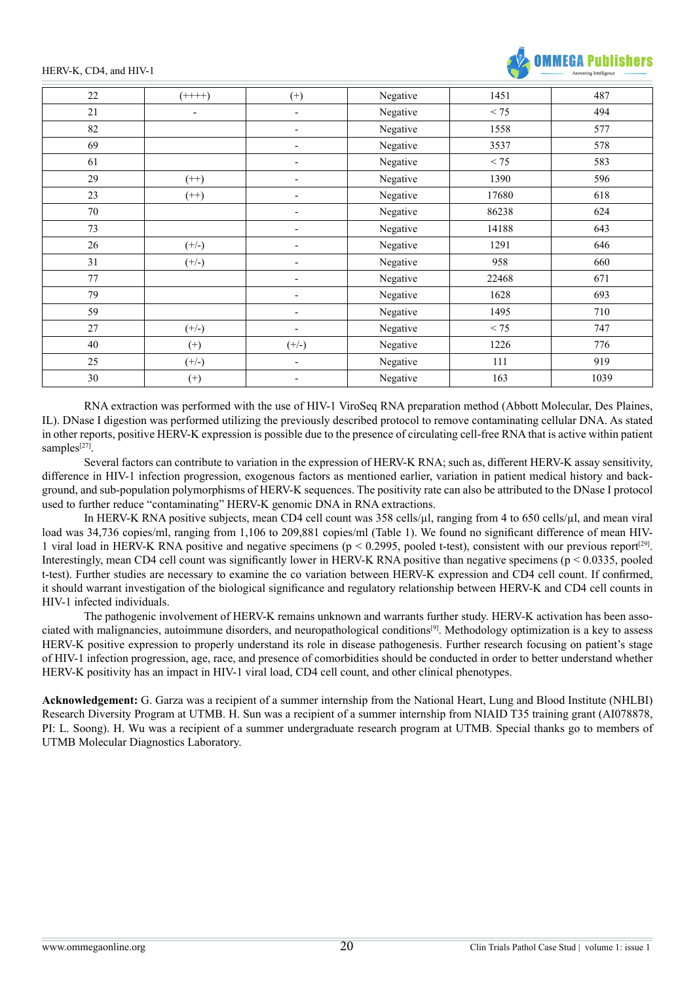HERV-K, CD4, and HIV-1



| 22     | $(+++)$                  | $^{(+)}$                 | Negative | 1451  | 487  |
|--------|--------------------------|--------------------------|----------|-------|------|
| 21     | $\overline{\phantom{a}}$ | $\blacksquare$           | Negative | < 75  | 494  |
| 82     |                          | $\overline{\phantom{a}}$ | Negative | 1558  | 577  |
| 69     |                          | $\overline{\phantom{a}}$ | Negative | 3537  | 578  |
| 61     |                          | $\overline{\phantom{a}}$ | Negative | < 75  | 583  |
| 29     | $(++)$                   | $\overline{\phantom{a}}$ | Negative | 1390  | 596  |
| 23     | $(++)$                   | $\overline{\phantom{a}}$ | Negative | 17680 | 618  |
| $70\,$ |                          | $\overline{\phantom{a}}$ | Negative | 86238 | 624  |
| 73     |                          | $\overline{\phantom{a}}$ | Negative | 14188 | 643  |
| 26     | $(+/-)$                  | $\overline{\phantom{a}}$ | Negative | 1291  | 646  |
| 31     | $(+/-)$                  | $\overline{\phantom{a}}$ | Negative | 958   | 660  |
| 77     |                          | $\overline{\phantom{a}}$ | Negative | 22468 | 671  |
| 79     |                          | $\overline{\phantom{a}}$ | Negative | 1628  | 693  |
| 59     |                          | $\overline{\phantom{a}}$ | Negative | 1495  | 710  |
| 27     | $(+/-)$                  | $\overline{\phantom{a}}$ | Negative | < 75  | 747  |
| 40     | $^{(+)}$                 | $(+/-)$                  | Negative | 1226  | 776  |
| 25     | $(+/-)$                  | $\overline{\phantom{a}}$ | Negative | 111   | 919  |
| 30     | $^{(+)}$                 | $\overline{\phantom{a}}$ | Negative | 163   | 1039 |
|        |                          |                          |          |       |      |

RNA extraction was performed with the use of HIV-1 ViroSeq RNA preparation method (Abbott Molecular, Des Plaines, IL). DNase I digestion was performed utilizing the previously described protocol to remove contaminating cellular DNA. As stated in other reports, positive HERV-K expression is possible due to the presence of circulating cell-free RNA that is active within patient samples $[27]$ .

Several factors can contribute to variation in the expression of HERV-K RNA; such as, different HERV-K assay sensitivity, difference in HIV-1 infection progression, exogenous factors as mentioned earlier, variation in patient medical history and background, and sub-population polymorphisms of HERV-K sequences. The positivity rate can also be attributed to the DNase I protocol used to further reduce "contaminating" HERV-K genomic DNA in RNA extractions.

In HERV-K RNA positive subjects, mean CD4 cell count was 358 cells/µl, ranging from 4 to 650 cells/µl, and mean viral load was 34,736 copies/ml, ranging from 1,106 to 209,881 copies/ml (Table 1). We found no significant difference of mean HIV-1 viral load in HERV-K RNA positive and negative specimens ( $p < 0.2995$ , pooled t-test), consistent with our previous report<sup>[29]</sup>. Interestingly, mean CD4 cell count was significantly lower in HERV-K RNA positive than negative specimens ( $p < 0.0335$ , pooled t-test). Further studies are necessary to examine the co variation between HERV-K expression and CD4 cell count. If confirmed, it should warrant investigation of the biological significance and regulatory relationship between HERV-K and CD4 cell counts in HIV-1 infected individuals.

The pathogenic involvement of HERV-K remains unknown and warrants further study. HERV-K activation has been associated with malignancies, autoimmune disorders, and neuropathological condition[s\[9\].](#page-4-5) Methodology optimization is a key to assess HERV-K positive expression to properly understand its role in disease pathogenesis. Further research focusing on patient's stage of HIV-1 infection progression, age, race, and presence of comorbidities should be conducted in order to better understand whether HERV-K positivity has an impact in HIV-1 viral load, CD4 cell count, and other clinical phenotypes.

**Acknowledgement:** G. Garza was a recipient of a summer internship from the National Heart, Lung and Blood Institute (NHLBI) Research Diversity Program at UTMB. H. Sun was a recipient of a summer internship from NIAID T35 training grant (AI078878, PI: L. Soong). H. Wu was a recipient of a summer undergraduate research program at UTMB. Special thanks go to members of UTMB Molecular Diagnostics Laboratory.